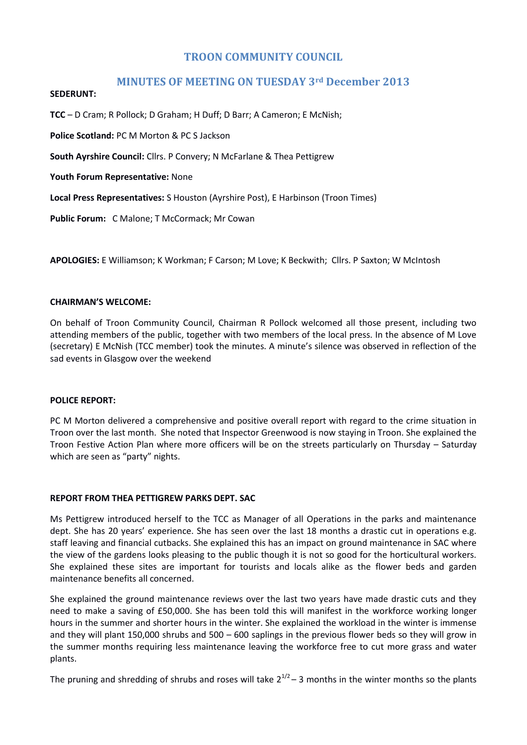# **TROON COMMUNITY COUNCIL**

# **MINUTES OF MEETING ON TUESDAY 3rd December 2013**

#### **SEDERUNT:**

**TCC** – D Cram; R Pollock; D Graham; H Duff; D Barr; A Cameron; E McNish;

**Police Scotland:** PC M Morton & PC S Jackson

**South Ayrshire Council:** Cllrs. P Convery; N McFarlane & Thea Pettigrew

**Youth Forum Representative:** None

**Local Press Representatives:** S Houston (Ayrshire Post), E Harbinson (Troon Times)

**Public Forum:** C Malone; T McCormack; Mr Cowan

**APOLOGIES:** E Williamson; K Workman; F Carson; M Love; K Beckwith; Cllrs. P Saxton; W McIntosh

### **CHAIRMAN'S WELCOME:**

On behalf of Troon Community Council, Chairman R Pollock welcomed all those present, including two attending members of the public, together with two members of the local press. In the absence of M Love (secretary) E McNish (TCC member) took the minutes. A minute's silence was observed in reflection of the sad events in Glasgow over the weekend

### **POLICE REPORT:**

PC M Morton delivered a comprehensive and positive overall report with regard to the crime situation in Troon over the last month. She noted that Inspector Greenwood is now staying in Troon. She explained the Troon Festive Action Plan where more officers will be on the streets particularly on Thursday – Saturday which are seen as "party" nights.

### **REPORT FROM THEA PETTIGREW PARKS DEPT. SAC**

Ms Pettigrew introduced herself to the TCC as Manager of all Operations in the parks and maintenance dept. She has 20 years' experience. She has seen over the last 18 months a drastic cut in operations e.g. staff leaving and financial cutbacks. She explained this has an impact on ground maintenance in SAC where the view of the gardens looks pleasing to the public though it is not so good for the horticultural workers. She explained these sites are important for tourists and locals alike as the flower beds and garden maintenance benefits all concerned.

She explained the ground maintenance reviews over the last two years have made drastic cuts and they need to make a saving of £50,000. She has been told this will manifest in the workforce working longer hours in the summer and shorter hours in the winter. She explained the workload in the winter is immense and they will plant 150,000 shrubs and 500 – 600 saplings in the previous flower beds so they will grow in the summer months requiring less maintenance leaving the workforce free to cut more grass and water plants.

The pruning and shredding of shrubs and roses will take  $2^{1/2}$  – 3 months in the winter months so the plants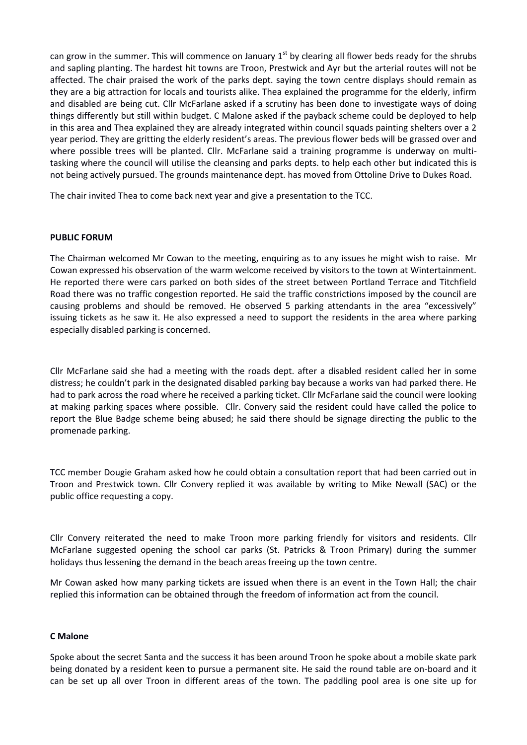can grow in the summer. This will commence on January  $1<sup>st</sup>$  by clearing all flower beds ready for the shrubs and sapling planting. The hardest hit towns are Troon, Prestwick and Ayr but the arterial routes will not be affected. The chair praised the work of the parks dept. saying the town centre displays should remain as they are a big attraction for locals and tourists alike. Thea explained the programme for the elderly, infirm and disabled are being cut. Cllr McFarlane asked if a scrutiny has been done to investigate ways of doing things differently but still within budget. C Malone asked if the payback scheme could be deployed to help in this area and Thea explained they are already integrated within council squads painting shelters over a 2 year period. They are gritting the elderly resident's areas. The previous flower beds will be grassed over and where possible trees will be planted. Cllr. McFarlane said a training programme is underway on multitasking where the council will utilise the cleansing and parks depts. to help each other but indicated this is not being actively pursued. The grounds maintenance dept. has moved from Ottoline Drive to Dukes Road.

The chair invited Thea to come back next year and give a presentation to the TCC.

#### **PUBLIC FORUM**

The Chairman welcomed Mr Cowan to the meeting, enquiring as to any issues he might wish to raise. Mr Cowan expressed his observation of the warm welcome received by visitors to the town at Wintertainment. He reported there were cars parked on both sides of the street between Portland Terrace and Titchfield Road there was no traffic congestion reported. He said the traffic constrictions imposed by the council are causing problems and should be removed. He observed 5 parking attendants in the area "excessively" issuing tickets as he saw it. He also expressed a need to support the residents in the area where parking especially disabled parking is concerned.

Cllr McFarlane said she had a meeting with the roads dept. after a disabled resident called her in some distress; he couldn't park in the designated disabled parking bay because a works van had parked there. He had to park across the road where he received a parking ticket. Cllr McFarlane said the council were looking at making parking spaces where possible. Cllr. Convery said the resident could have called the police to report the Blue Badge scheme being abused; he said there should be signage directing the public to the promenade parking.

TCC member Dougie Graham asked how he could obtain a consultation report that had been carried out in Troon and Prestwick town. Cllr Convery replied it was available by writing to Mike Newall (SAC) or the public office requesting a copy.

Cllr Convery reiterated the need to make Troon more parking friendly for visitors and residents. Cllr McFarlane suggested opening the school car parks (St. Patricks & Troon Primary) during the summer holidays thus lessening the demand in the beach areas freeing up the town centre.

Mr Cowan asked how many parking tickets are issued when there is an event in the Town Hall; the chair replied this information can be obtained through the freedom of information act from the council.

#### **C Malone**

Spoke about the secret Santa and the success it has been around Troon he spoke about a mobile skate park being donated by a resident keen to pursue a permanent site. He said the round table are on-board and it can be set up all over Troon in different areas of the town. The paddling pool area is one site up for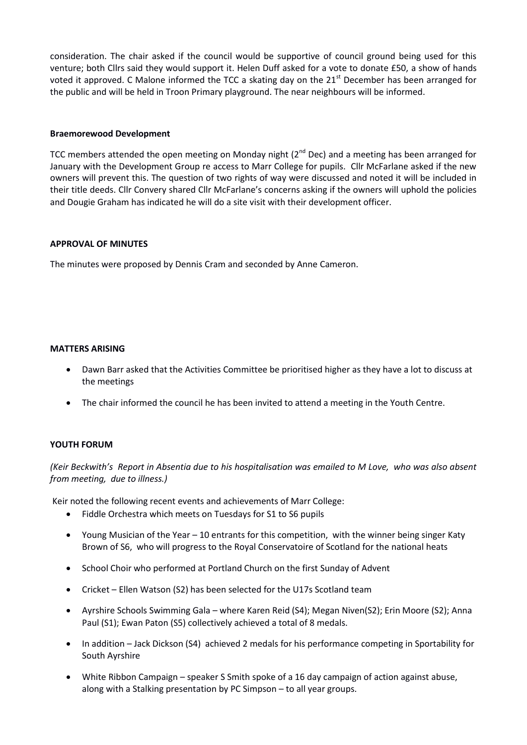consideration. The chair asked if the council would be supportive of council ground being used for this venture; both Cllrs said they would support it. Helen Duff asked for a vote to donate £50, a show of hands voted it approved. C Malone informed the TCC a skating day on the 21<sup>st</sup> December has been arranged for the public and will be held in Troon Primary playground. The near neighbours will be informed.

### **Braemorewood Development**

TCC members attended the open meeting on Monday night ( $2^{nd}$  Dec) and a meeting has been arranged for January with the Development Group re access to Marr College for pupils. Cllr McFarlane asked if the new owners will prevent this. The question of two rights of way were discussed and noted it will be included in their title deeds. Cllr Convery shared Cllr McFarlane's concerns asking if the owners will uphold the policies and Dougie Graham has indicated he will do a site visit with their development officer.

### **APPROVAL OF MINUTES**

The minutes were proposed by Dennis Cram and seconded by Anne Cameron.

### **MATTERS ARISING**

- Dawn Barr asked that the Activities Committee be prioritised higher as they have a lot to discuss at the meetings
- The chair informed the council he has been invited to attend a meeting in the Youth Centre.

## **YOUTH FORUM**

*(Keir Beckwith's Report in Absentia due to his hospitalisation was emailed to M Love, who was also absent from meeting, due to illness.)* 

Keir noted the following recent events and achievements of Marr College:

- Fiddle Orchestra which meets on Tuesdays for S1 to S6 pupils
- Young Musician of the Year 10 entrants for this competition, with the winner being singer Katy Brown of S6, who will progress to the Royal Conservatoire of Scotland for the national heats
- School Choir who performed at Portland Church on the first Sunday of Advent
- Cricket Ellen Watson (S2) has been selected for the U17s Scotland team
- Ayrshire Schools Swimming Gala where Karen Reid (S4); Megan Niven(S2); Erin Moore (S2); Anna Paul (S1); Ewan Paton (S5) collectively achieved a total of 8 medals.
- In addition Jack Dickson (S4) achieved 2 medals for his performance competing in Sportability for South Ayrshire
- White Ribbon Campaign speaker S Smith spoke of a 16 day campaign of action against abuse, along with a Stalking presentation by PC Simpson – to all year groups.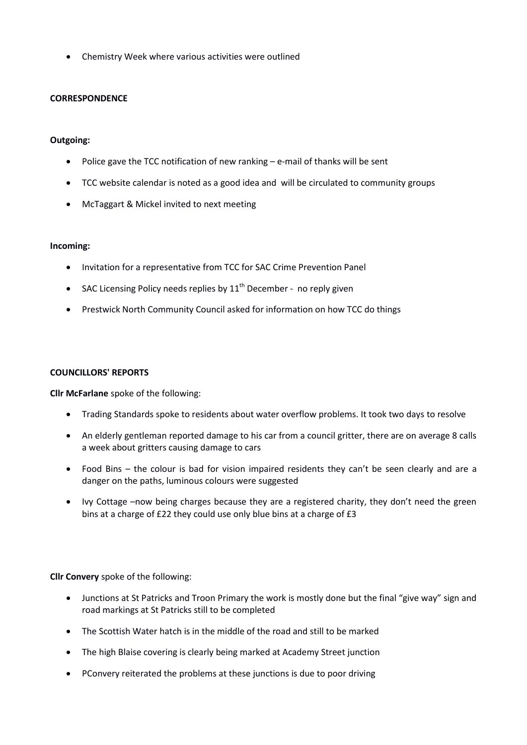Chemistry Week where various activities were outlined

### **CORRESPONDENCE**

### **Outgoing:**

- Police gave the TCC notification of new ranking e-mail of thanks will be sent
- TCC website calendar is noted as a good idea and will be circulated to community groups
- McTaggart & Mickel invited to next meeting

#### **Incoming:**

- Invitation for a representative from TCC for SAC Crime Prevention Panel
- SAC Licensing Policy needs replies by  $11<sup>th</sup>$  December no reply given
- Prestwick North Community Council asked for information on how TCC do things

#### **COUNCILLORS' REPORTS**

**Cllr McFarlane** spoke of the following:

- Trading Standards spoke to residents about water overflow problems. It took two days to resolve
- An elderly gentleman reported damage to his car from a council gritter, there are on average 8 calls a week about gritters causing damage to cars
- Food Bins the colour is bad for vision impaired residents they can't be seen clearly and are a danger on the paths, luminous colours were suggested
- Ivy Cottage –now being charges because they are a registered charity, they don't need the green bins at a charge of £22 they could use only blue bins at a charge of £3

**Cllr Convery** spoke of the following:

- Junctions at St Patricks and Troon Primary the work is mostly done but the final "give way" sign and road markings at St Patricks still to be completed
- The Scottish Water hatch is in the middle of the road and still to be marked
- The high Blaise covering is clearly being marked at Academy Street junction
- PConvery reiterated the problems at these junctions is due to poor driving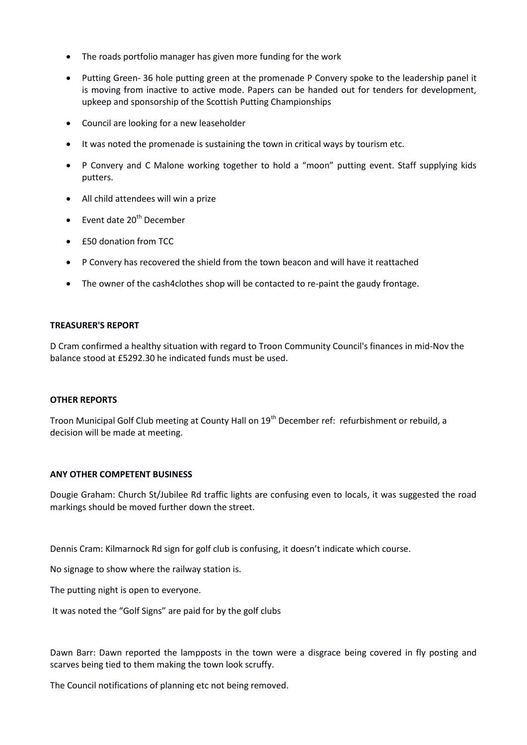- The roads portfolio manager has given more funding for the work
- Putting Green- 36 hole putting green at the promenade P Convery spoke to the leadership panel it is moving from inactive to active mode. Papers can be handed out for tenders for development, upkeep and sponsorship of the Scottish Putting Championships
- Council are looking for a new leaseholder
- It was noted the promenade is sustaining the town in critical ways by tourism etc.
- P Convery and C Malone working together to hold a "moon" putting event. Staff supplying kids putters.
- All child attendees will win a prize
- $\bullet$  Event date 20<sup>th</sup> December
- £50 donation from TCC
- P Convery has recovered the shield from the town beacon and will have it reattached
- The owner of the cash4clothes shop will be contacted to re-paint the gaudy frontage.

### **TREASURER'S REPORT**

D Cram confirmed a healthy situation with regard to Troon Community Council's finances in mid-Nov the balance stood at £5292.30 he indicated funds must be used.

### **OTHER REPORTS**

Troon Municipal Golf Club meeting at County Hall on 19<sup>th</sup> December ref: refurbishment or rebuild, a decision will be made at meeting.

### **ANY OTHER COMPETENT BUSINESS**

Dougie Graham: Church St/Jubilee Rd traffic lights are confusing even to locals, it was suggested the road markings should be moved further down the street.

Dennis Cram: Kilmarnock Rd sign for golf club is confusing, it doesn't indicate which course.

No signage to show where the railway station is.

The putting night is open to everyone.

It was noted the "Golf Signs" are paid for by the golf clubs

Dawn Barr: Dawn reported the lampposts in the town were a disgrace being covered in fly posting and scarves being tied to them making the town look scruffy.

The Council notifications of planning etc not being removed.